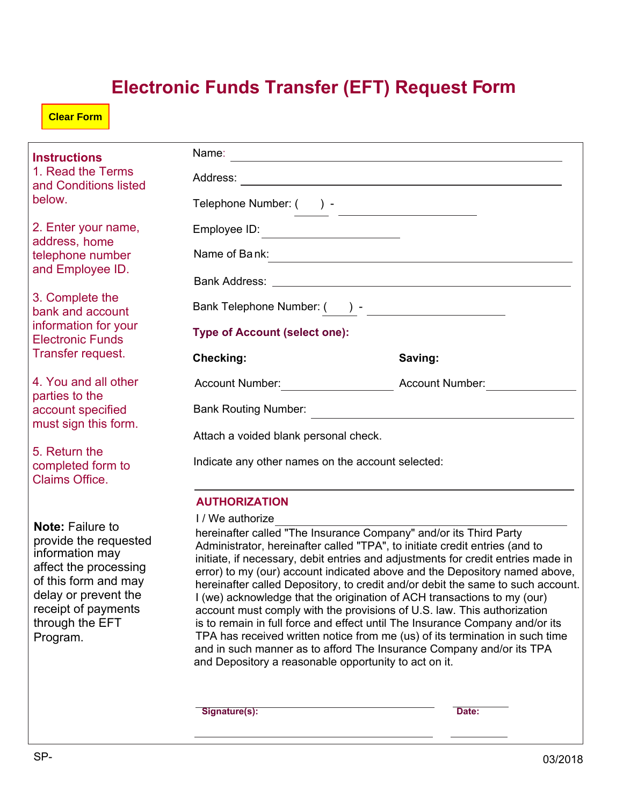## **Electronic Funds Transfer (EFT) Request Form**

**Clear Form**

| <b>Instructions</b><br>1. Read the Terms<br>and Conditions listed<br>below.                                                                                                                        |                                                                           |                                                                                                                                                                                                                                                                                                                                                                                                                                                                                                                                                                                                                                                                                                                                                                                                     |
|----------------------------------------------------------------------------------------------------------------------------------------------------------------------------------------------------|---------------------------------------------------------------------------|-----------------------------------------------------------------------------------------------------------------------------------------------------------------------------------------------------------------------------------------------------------------------------------------------------------------------------------------------------------------------------------------------------------------------------------------------------------------------------------------------------------------------------------------------------------------------------------------------------------------------------------------------------------------------------------------------------------------------------------------------------------------------------------------------------|
|                                                                                                                                                                                                    |                                                                           |                                                                                                                                                                                                                                                                                                                                                                                                                                                                                                                                                                                                                                                                                                                                                                                                     |
|                                                                                                                                                                                                    | Telephone Number: () -                                                    | <u> 1989 - Andrea Station, amerikansk politik (</u>                                                                                                                                                                                                                                                                                                                                                                                                                                                                                                                                                                                                                                                                                                                                                 |
| 2. Enter your name,<br>address, home<br>telephone number<br>and Employee ID.                                                                                                                       | Employee ID:                                                              |                                                                                                                                                                                                                                                                                                                                                                                                                                                                                                                                                                                                                                                                                                                                                                                                     |
|                                                                                                                                                                                                    | Name of Bank:                                                             |                                                                                                                                                                                                                                                                                                                                                                                                                                                                                                                                                                                                                                                                                                                                                                                                     |
|                                                                                                                                                                                                    |                                                                           |                                                                                                                                                                                                                                                                                                                                                                                                                                                                                                                                                                                                                                                                                                                                                                                                     |
| 3. Complete the<br>bank and account<br>information for your<br><b>Electronic Funds</b><br>Transfer request.                                                                                        |                                                                           |                                                                                                                                                                                                                                                                                                                                                                                                                                                                                                                                                                                                                                                                                                                                                                                                     |
|                                                                                                                                                                                                    | <b>Type of Account (select one):</b>                                      |                                                                                                                                                                                                                                                                                                                                                                                                                                                                                                                                                                                                                                                                                                                                                                                                     |
|                                                                                                                                                                                                    | Checking:                                                                 | Saving:                                                                                                                                                                                                                                                                                                                                                                                                                                                                                                                                                                                                                                                                                                                                                                                             |
| 4. You and all other<br>parties to the<br>account specified<br>must sign this form.                                                                                                                |                                                                           |                                                                                                                                                                                                                                                                                                                                                                                                                                                                                                                                                                                                                                                                                                                                                                                                     |
|                                                                                                                                                                                                    |                                                                           |                                                                                                                                                                                                                                                                                                                                                                                                                                                                                                                                                                                                                                                                                                                                                                                                     |
|                                                                                                                                                                                                    | Attach a voided blank personal check.                                     |                                                                                                                                                                                                                                                                                                                                                                                                                                                                                                                                                                                                                                                                                                                                                                                                     |
| 5. Return the<br>completed form to<br><b>Claims Office.</b>                                                                                                                                        | Indicate any other names on the account selected:                         |                                                                                                                                                                                                                                                                                                                                                                                                                                                                                                                                                                                                                                                                                                                                                                                                     |
|                                                                                                                                                                                                    | <b>AUTHORIZATION</b>                                                      |                                                                                                                                                                                                                                                                                                                                                                                                                                                                                                                                                                                                                                                                                                                                                                                                     |
| <b>Note: Failure to</b><br>provide the requested<br>information may<br>affect the processing<br>of this form and may<br>delay or prevent the<br>receipt of payments<br>through the EFT<br>Program. | I / We authorize<br>and Depository a reasonable opportunity to act on it. | hereinafter called "The Insurance Company" and/or its Third Party<br>Administrator, hereinafter called "TPA", to initiate credit entries (and to<br>initiate, if necessary, debit entries and adjustments for credit entries made in<br>error) to my (our) account indicated above and the Depository named above,<br>hereinafter called Depository, to credit and/or debit the same to such account.<br>I (we) acknowledge that the origination of ACH transactions to my (our)<br>account must comply with the provisions of U.S. law. This authorization<br>is to remain in full force and effect until The Insurance Company and/or its<br>TPA has received written notice from me (us) of its termination in such time<br>and in such manner as to afford The Insurance Company and/or its TPA |
|                                                                                                                                                                                                    | Signature(s):                                                             | Date:                                                                                                                                                                                                                                                                                                                                                                                                                                                                                                                                                                                                                                                                                                                                                                                               |